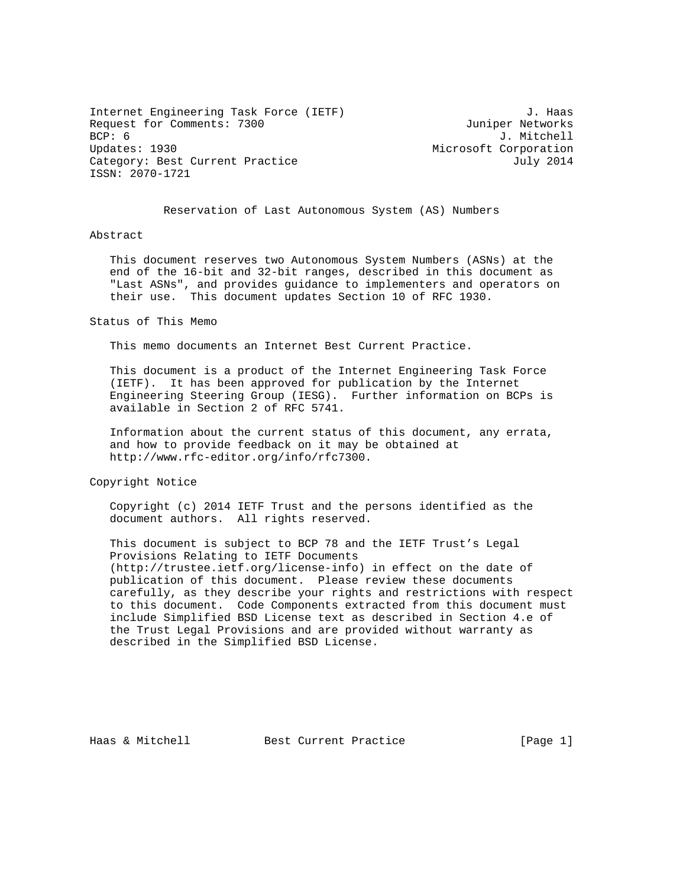Internet Engineering Task Force (IETF) 3. Haas Request for Comments: 7300 Juniper Networks<br>BCP: 6 J. Mitchell Updates: 1930 **Microsoft Corporation** Microsoft Corporation Category: Best Current Practice  $July 2014$ ISSN: 2070-1721

BCP: 6 J. Mitchell

Reservation of Last Autonomous System (AS) Numbers

## Abstract

 This document reserves two Autonomous System Numbers (ASNs) at the end of the 16-bit and 32-bit ranges, described in this document as "Last ASNs", and provides guidance to implementers and operators on their use. This document updates Section 10 of RFC 1930.

## Status of This Memo

This memo documents an Internet Best Current Practice.

 This document is a product of the Internet Engineering Task Force (IETF). It has been approved for publication by the Internet Engineering Steering Group (IESG). Further information on BCPs is available in Section 2 of RFC 5741.

 Information about the current status of this document, any errata, and how to provide feedback on it may be obtained at http://www.rfc-editor.org/info/rfc7300.

Copyright Notice

 Copyright (c) 2014 IETF Trust and the persons identified as the document authors. All rights reserved.

 This document is subject to BCP 78 and the IETF Trust's Legal Provisions Relating to IETF Documents (http://trustee.ietf.org/license-info) in effect on the date of publication of this document. Please review these documents carefully, as they describe your rights and restrictions with respect to this document. Code Components extracted from this document must include Simplified BSD License text as described in Section 4.e of the Trust Legal Provisions and are provided without warranty as described in the Simplified BSD License.

Haas & Mitchell Best Current Practice [Page 1]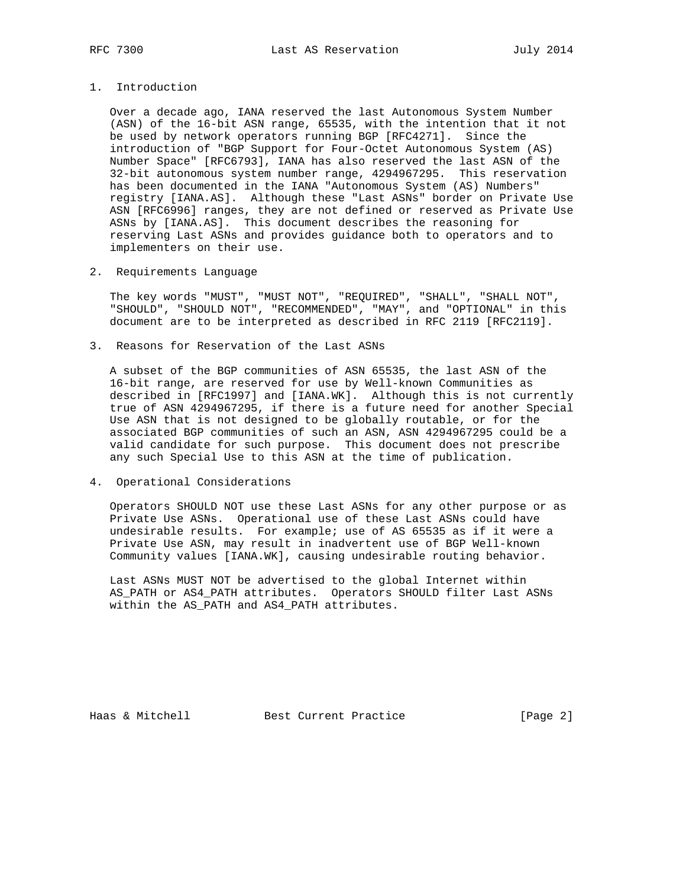1. Introduction

 Over a decade ago, IANA reserved the last Autonomous System Number (ASN) of the 16-bit ASN range, 65535, with the intention that it not be used by network operators running BGP [RFC4271]. Since the introduction of "BGP Support for Four-Octet Autonomous System (AS) Number Space" [RFC6793], IANA has also reserved the last ASN of the 32-bit autonomous system number range, 4294967295. This reservation has been documented in the IANA "Autonomous System (AS) Numbers" registry [IANA.AS]. Although these "Last ASNs" border on Private Use ASN [RFC6996] ranges, they are not defined or reserved as Private Use ASNs by [IANA.AS]. This document describes the reasoning for reserving Last ASNs and provides guidance both to operators and to implementers on their use.

2. Requirements Language

 The key words "MUST", "MUST NOT", "REQUIRED", "SHALL", "SHALL NOT", "SHOULD", "SHOULD NOT", "RECOMMENDED", "MAY", and "OPTIONAL" in this document are to be interpreted as described in RFC 2119 [RFC2119].

3. Reasons for Reservation of the Last ASNs

 A subset of the BGP communities of ASN 65535, the last ASN of the 16-bit range, are reserved for use by Well-known Communities as described in [RFC1997] and [IANA.WK]. Although this is not currently true of ASN 4294967295, if there is a future need for another Special Use ASN that is not designed to be globally routable, or for the associated BGP communities of such an ASN, ASN 4294967295 could be a valid candidate for such purpose. This document does not prescribe any such Special Use to this ASN at the time of publication.

4. Operational Considerations

 Operators SHOULD NOT use these Last ASNs for any other purpose or as Private Use ASNs. Operational use of these Last ASNs could have undesirable results. For example; use of AS 65535 as if it were a Private Use ASN, may result in inadvertent use of BGP Well-known Community values [IANA.WK], causing undesirable routing behavior.

 Last ASNs MUST NOT be advertised to the global Internet within AS\_PATH or AS4\_PATH attributes. Operators SHOULD filter Last ASNs within the AS\_PATH and AS4\_PATH attributes.

Haas & Mitchell **Best Current Practice** [Page 2]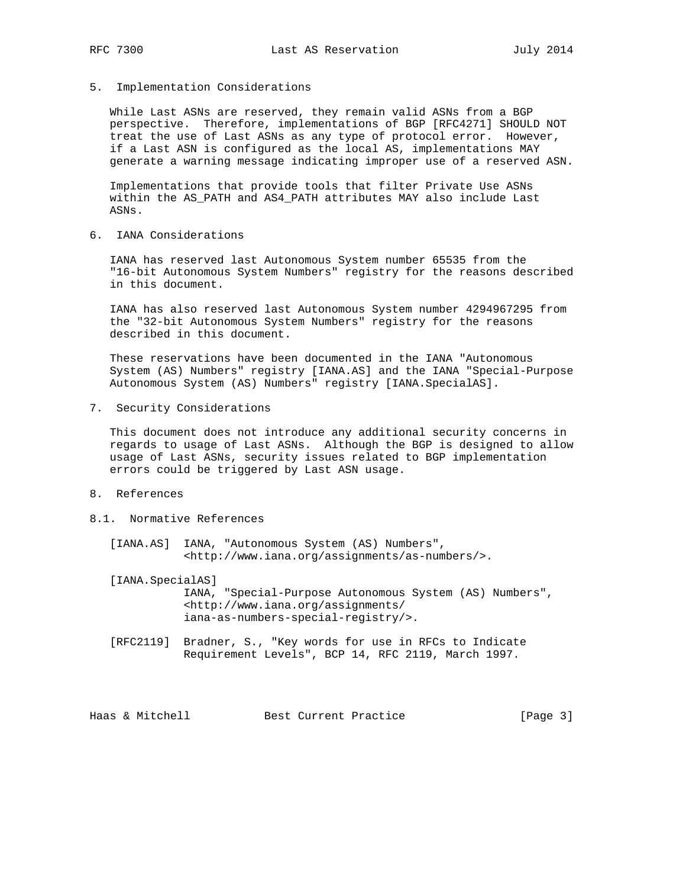5. Implementation Considerations

 While Last ASNs are reserved, they remain valid ASNs from a BGP perspective. Therefore, implementations of BGP [RFC4271] SHOULD NOT treat the use of Last ASNs as any type of protocol error. However, if a Last ASN is configured as the local AS, implementations MAY generate a warning message indicating improper use of a reserved ASN.

 Implementations that provide tools that filter Private Use ASNs within the AS\_PATH and AS4\_PATH attributes MAY also include Last ASNs.

6. IANA Considerations

 IANA has reserved last Autonomous System number 65535 from the "16-bit Autonomous System Numbers" registry for the reasons described in this document.

 IANA has also reserved last Autonomous System number 4294967295 from the "32-bit Autonomous System Numbers" registry for the reasons described in this document.

 These reservations have been documented in the IANA "Autonomous System (AS) Numbers" registry [IANA.AS] and the IANA "Special-Purpose Autonomous System (AS) Numbers" registry [IANA.SpecialAS].

7. Security Considerations

 This document does not introduce any additional security concerns in regards to usage of Last ASNs. Although the BGP is designed to allow usage of Last ASNs, security issues related to BGP implementation errors could be triggered by Last ASN usage.

- 8. References
- 8.1. Normative References

 [IANA.AS] IANA, "Autonomous System (AS) Numbers", <http://www.iana.org/assignments/as-numbers/>.

 [IANA.SpecialAS] IANA, "Special-Purpose Autonomous System (AS) Numbers", <http://www.iana.org/assignments/ iana-as-numbers-special-registry/>.

 [RFC2119] Bradner, S., "Key words for use in RFCs to Indicate Requirement Levels", BCP 14, RFC 2119, March 1997.

Haas & Mitchell Best Current Practice [Page 3]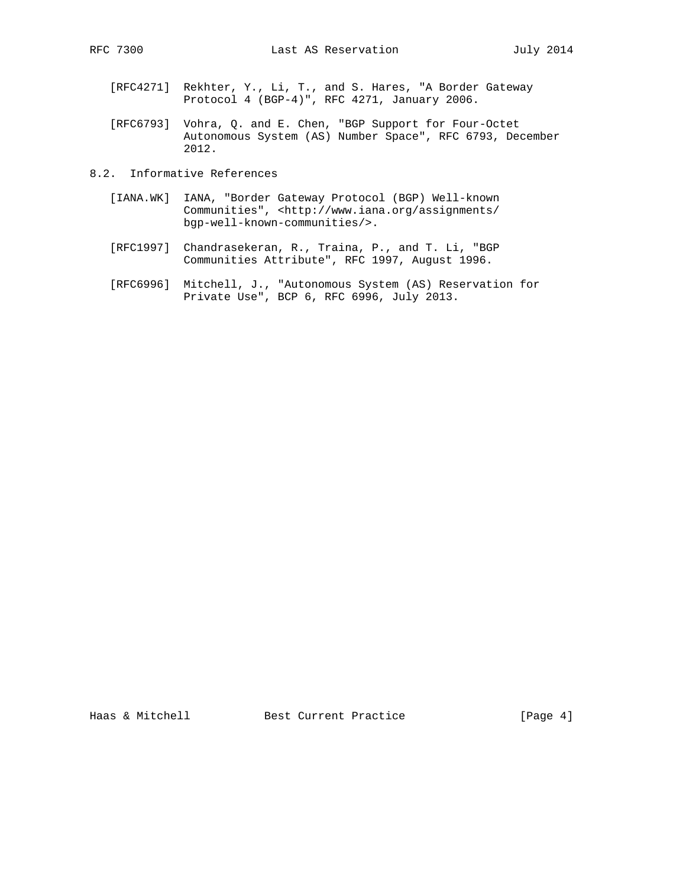- [RFC4271] Rekhter, Y., Li, T., and S. Hares, "A Border Gateway Protocol 4 (BGP-4)", RFC 4271, January 2006.
- [RFC6793] Vohra, Q. and E. Chen, "BGP Support for Four-Octet Autonomous System (AS) Number Space", RFC 6793, December 2012.
- 8.2. Informative References
	- [IANA.WK] IANA, "Border Gateway Protocol (BGP) Well-known Communities", <http://www.iana.org/assignments/ bgp-well-known-communities/>.
	- [RFC1997] Chandrasekeran, R., Traina, P., and T. Li, "BGP Communities Attribute", RFC 1997, August 1996.
- [RFC6996] Mitchell, J., "Autonomous System (AS) Reservation for Private Use", BCP 6, RFC 6996, July 2013.

Haas & Mitchell Best Current Practice [Page 4]